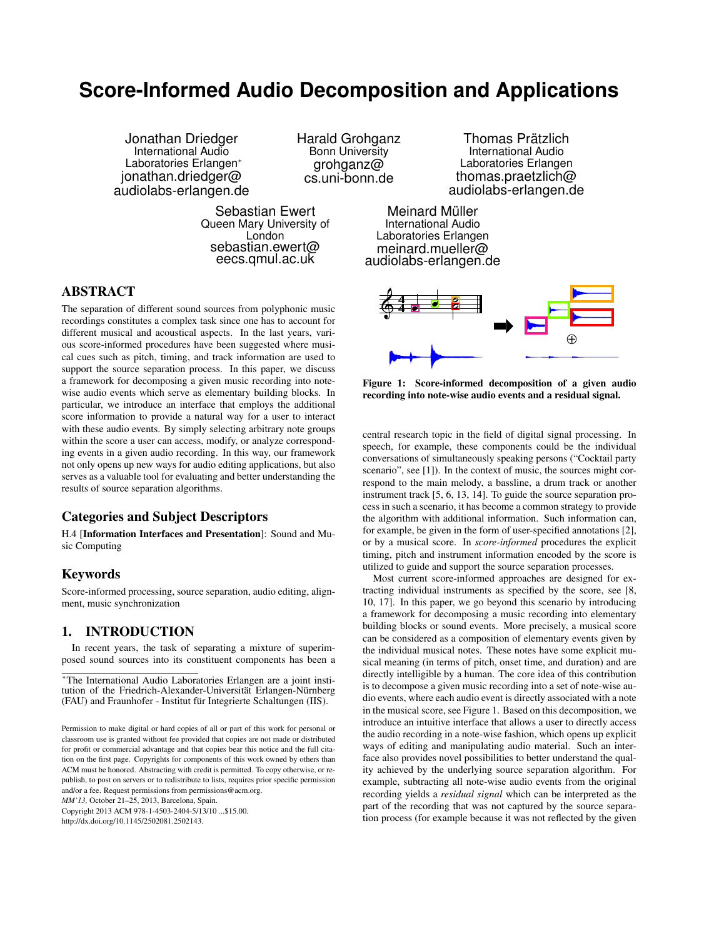# **Score-Informed Audio Decomposition and Applications**

Jonathan Driedger International Audio Laboratories Erlangen<sup>∗</sup> jonathan.driedger@ audiolabs-erlangen.de

> Sebastian Ewert Queen Mary University of London sebastian.ewert@ eecs.qmul.ac.uk

Harald Grohganz Bonn University grohganz@ cs.uni-bonn.de

Thomas Prätzlich International Audio Laboratories Erlangen thomas.praetzlich@ audiolabs-erlangen.de

Meinard Müller International Audio Laboratories Erlangen meinard.mueller@ audiolabs-erlangen.de



Figure 1: Score-informed decomposition of a given audio recording into note-wise audio events and a residual signal.

central research topic in the field of digital signal processing. In speech, for example, these components could be the individual conversations of simultaneously speaking persons ("Cocktail party scenario", see [1]). In the context of music, the sources might correspond to the main melody, a bassline, a drum track or another instrument track [5, 6, 13, 14]. To guide the source separation process in such a scenario, it has become a common strategy to provide the algorithm with additional information. Such information can, for example, be given in the form of user-specified annotations [2], or by a musical score. In *score-informed* procedures the explicit timing, pitch and instrument information encoded by the score is utilized to guide and support the source separation processes.

Most current score-informed approaches are designed for extracting individual instruments as specified by the score, see [8, 10, 17]. In this paper, we go beyond this scenario by introducing a framework for decomposing a music recording into elementary building blocks or sound events. More precisely, a musical score can be considered as a composition of elementary events given by the individual musical notes. These notes have some explicit musical meaning (in terms of pitch, onset time, and duration) and are directly intelligible by a human. The core idea of this contribution is to decompose a given music recording into a set of note-wise audio events, where each audio event is directly associated with a note in the musical score, see Figure 1. Based on this decomposition, we introduce an intuitive interface that allows a user to directly access the audio recording in a note-wise fashion, which opens up explicit ways of editing and manipulating audio material. Such an interface also provides novel possibilities to better understand the quality achieved by the underlying source separation algorithm. For example, subtracting all note-wise audio events from the original recording yields a *residual signal* which can be interpreted as the part of the recording that was not captured by the source separation process (for example because it was not reflected by the given

# ABSTRACT

The separation of different sound sources from polyphonic music recordings constitutes a complex task since one has to account for different musical and acoustical aspects. In the last years, various score-informed procedures have been suggested where musical cues such as pitch, timing, and track information are used to support the source separation process. In this paper, we discuss a framework for decomposing a given music recording into notewise audio events which serve as elementary building blocks. In particular, we introduce an interface that employs the additional score information to provide a natural way for a user to interact with these audio events. By simply selecting arbitrary note groups within the score a user can access, modify, or analyze corresponding events in a given audio recording. In this way, our framework not only opens up new ways for audio editing applications, but also serves as a valuable tool for evaluating and better understanding the results of source separation algorithms.

## Categories and Subject Descriptors

H.4 [Information Interfaces and Presentation]: Sound and Music Computing

# Keywords

Score-informed processing, source separation, audio editing, alignment, music synchronization

## 1. INTRODUCTION

In recent years, the task of separating a mixture of superimposed sound sources into its constituent components has been a

*MM'13,* October 21–25, 2013, Barcelona, Spain.

Copyright 2013 ACM 978-1-4503-2404-5/13/10 ...\$15.00. http://dx.doi.org/10.1145/2502081.2502143.

<sup>∗</sup>The International Audio Laboratories Erlangen are a joint institution of the Friedrich-Alexander-Universität Erlangen-Nürnberg (FAU) and Fraunhofer - Institut für Integrierte Schaltungen (IIS).

Permission to make digital or hard copies of all or part of this work for personal or classroom use is granted without fee provided that copies are not made or distributed for profit or commercial advantage and that copies bear this notice and the full citation on the first page. Copyrights for components of this work owned by others than ACM must be honored. Abstracting with credit is permitted. To copy otherwise, or republish, to post on servers or to redistribute to lists, requires prior specific permission and/or a fee. Request permissions from permissions@acm.org.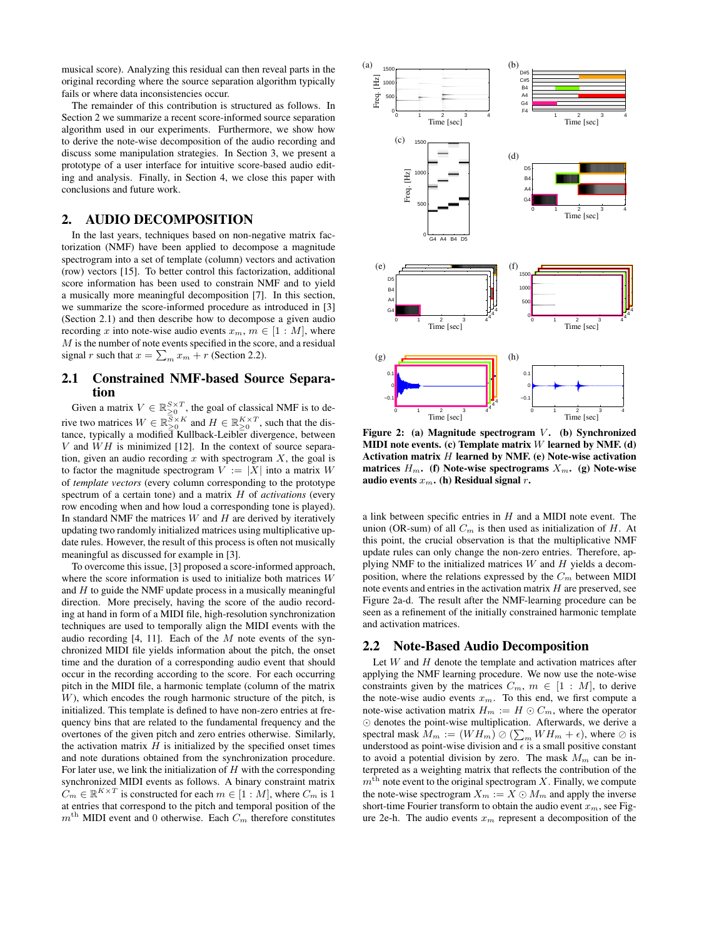musical score). Analyzing this residual can then reveal parts in the original recording where the source separation algorithm typically fails or where data inconsistencies occur.

The remainder of this contribution is structured as follows. In Section 2 we summarize a recent score-informed source separation algorithm used in our experiments. Furthermore, we show how to derive the note-wise decomposition of the audio recording and discuss some manipulation strategies. In Section 3, we present a prototype of a user interface for intuitive score-based audio editing and analysis. Finally, in Section 4, we close this paper with conclusions and future work.

## 2. AUDIO DECOMPOSITION

In the last years, techniques based on non-negative matrix factorization (NMF) have been applied to decompose a magnitude spectrogram into a set of template (column) vectors and activation (row) vectors [15]. To better control this factorization, additional score information has been used to constrain NMF and to yield a musically more meaningful decomposition [7]. In this section, we summarize the score-informed procedure as introduced in [3] (Section 2.1) and then describe how to decompose a given audio recording x into note-wise audio events  $x_m$ ,  $m \in [1 : M]$ , where  $M$  is the number of note events specified in the score, and a residual signal r such that  $x = \sum_m x_m + r$  (Section 2.2).

## 2.1 Constrained NMF-based Source Separation

Given a matrix  $V \in \mathbb{R}_{\geq 0}^{S \times T}$ , the goal of classical NMF is to derive two matrices  $W \in \mathbb{R}_{\geq 0}^{S \times K}$  and  $H \in \mathbb{R}_{\geq 0}^{K \times T}$ , such that the distance, typically a modified Kullback-Leibler divergence, between  $V$  and  $WH$  is minimized [12]. In the context of source separation, given an audio recording x with spectrogram  $X$ , the goal is to factor the magnitude spectrogram  $V := |X|$  into a matrix W of *template vectors* (every column corresponding to the prototype spectrum of a certain tone) and a matrix H of *activations* (every row encoding when and how loud a corresponding tone is played). In standard NMF the matrices  $W$  and  $H$  are derived by iteratively updating two randomly initialized matrices using multiplicative update rules. However, the result of this process is often not musically meaningful as discussed for example in [3].

To overcome this issue, [3] proposed a score-informed approach, where the score information is used to initialize both matrices W and  $H$  to guide the NMF update process in a musically meaningful direction. More precisely, having the score of the audio recording at hand in form of a MIDI file, high-resolution synchronization techniques are used to temporally align the MIDI events with the audio recording  $[4, 11]$ . Each of the M note events of the synchronized MIDI file yields information about the pitch, the onset time and the duration of a corresponding audio event that should occur in the recording according to the score. For each occurring pitch in the MIDI file, a harmonic template (column of the matrix  $W$ ), which encodes the rough harmonic structure of the pitch, is initialized. This template is defined to have non-zero entries at frequency bins that are related to the fundamental frequency and the overtones of the given pitch and zero entries otherwise. Similarly, the activation matrix  $H$  is initialized by the specified onset times and note durations obtained from the synchronization procedure. For later use, we link the initialization of  $H$  with the corresponding synchronized MIDI events as follows. A binary constraint matrix  $C_m \in \mathbb{R}^{K \times T}$  is constructed for each  $m \in [1 : M]$ , where  $C_m$  is 1 at entries that correspond to the pitch and temporal position of the  $m<sup>th</sup>$  MIDI event and 0 otherwise. Each  $C_m$  therefore constitutes



Figure 2: (a) Magnitude spectrogram  $V$ . (b) Synchronized MIDI note events. (c) Template matrix  $W$  learned by NMF. (d) Activation matrix  $H$  learned by NMF. (e) Note-wise activation matrices  $H_m$ . (f) Note-wise spectrograms  $X_m$ . (g) Note-wise audio events  $x_m$ . (h) Residual signal r.

a link between specific entries in  $H$  and a MIDI note event. The union (OR-sum) of all  $C_m$  is then used as initialization of H. At this point, the crucial observation is that the multiplicative NMF update rules can only change the non-zero entries. Therefore, applying NMF to the initialized matrices  $W$  and  $H$  yields a decomposition, where the relations expressed by the  $C_m$  between MIDI note events and entries in the activation matrix  $H$  are preserved, see Figure 2a-d. The result after the NMF-learning procedure can be seen as a refinement of the initially constrained harmonic template and activation matrices.

### 2.2 Note-Based Audio Decomposition

Let  $W$  and  $H$  denote the template and activation matrices after applying the NMF learning procedure. We now use the note-wise constraints given by the matrices  $C_m$ ,  $m \in [1 : M]$ , to derive the note-wise audio events  $x_m$ . To this end, we first compute a note-wise activation matrix  $H_m := H \odot C_m$ , where the operator  $\odot$  denotes the point-wise multiplication. Afterwards, we derive a spectral mask  $M_m := (WH_m) \oslash (\sum_m WH_m + \epsilon)$ , where  $\oslash$  is understood as point-wise division and  $\epsilon$  is a small positive constant to avoid a potential division by zero. The mask  $M_m$  can be interpreted as a weighting matrix that reflects the contribution of the  $m<sup>th</sup>$  note event to the original spectrogram X. Finally, we compute the note-wise spectrogram  $X_m := X \odot M_m$  and apply the inverse short-time Fourier transform to obtain the audio event  $x_m$ , see Figure 2e-h. The audio events  $x_m$  represent a decomposition of the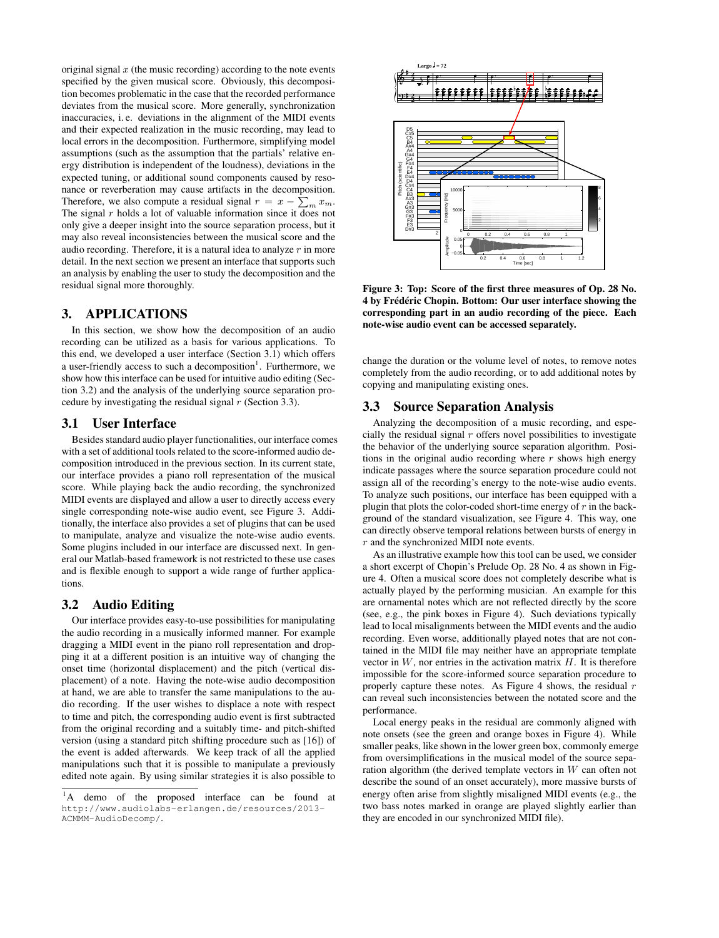original signal  $x$  (the music recording) according to the note events specified by the given musical score. Obviously, this decomposition becomes problematic in the case that the recorded performance deviates from the musical score. More generally, synchronization inaccuracies, i. e. deviations in the alignment of the MIDI events and their expected realization in the music recording, may lead to local errors in the decomposition. Furthermore, simplifying model assumptions (such as the assumption that the partials' relative energy distribution is independent of the loudness), deviations in the expected tuning, or additional sound components caused by resonance or reverberation may cause artifacts in the decomposition. Therefore, we also compute a residual signal  $r = x - \sum_m x_m$ . The signal  $r$  holds a lot of valuable information since it does not only give a deeper insight into the source separation process, but it may also reveal inconsistencies between the musical score and the audio recording. Therefore, it is a natural idea to analyze  $r$  in more detail. In the next section we present an interface that supports such an analysis by enabling the user to study the decomposition and the residual signal more thoroughly.

# 3. APPLICATIONS

In this section, we show how the decomposition of an audio recording can be utilized as a basis for various applications. To this end, we developed a user interface (Section 3.1) which offers a user-friendly access to such a decomposition<sup>1</sup>. Furthermore, we show how this interface can be used for intuitive audio editing (Section 3.2) and the analysis of the underlying source separation procedure by investigating the residual signal  $r$  (Section 3.3).

#### 3.1 User Interface

Besides standard audio player functionalities, our interface comes with a set of additional tools related to the score-informed audio decomposition introduced in the previous section. In its current state, our interface provides a piano roll representation of the musical score. While playing back the audio recording, the synchronized MIDI events are displayed and allow a user to directly access every single corresponding note-wise audio event, see Figure 3. Additionally, the interface also provides a set of plugins that can be used to manipulate, analyze and visualize the note-wise audio events. Some plugins included in our interface are discussed next. In general our Matlab-based framework is not restricted to these use cases and is flexible enough to support a wide range of further applications.

#### 3.2 Audio Editing

Our interface provides easy-to-use possibilities for manipulating the audio recording in a musically informed manner. For example dragging a MIDI event in the piano roll representation and dropping it at a different position is an intuitive way of changing the onset time (horizontal displacement) and the pitch (vertical displacement) of a note. Having the note-wise audio decomposition at hand, we are able to transfer the same manipulations to the audio recording. If the user wishes to displace a note with respect to time and pitch, the corresponding audio event is first subtracted from the original recording and a suitably time- and pitch-shifted version (using a standard pitch shifting procedure such as [16]) of the event is added afterwards. We keep track of all the applied manipulations such that it is possible to manipulate a previously edited note again. By using similar strategies it is also possible to



Figure 3: Top: Score of the first three measures of Op. 28 No. 4 by Frédéric Chopin. Bottom: Our user interface showing the corresponding part in an audio recording of the piece. Each note-wise audio event can be accessed separately.

change the duration or the volume level of notes, to remove notes completely from the audio recording, or to add additional notes by copying and manipulating existing ones.

#### 3.3 Source Separation Analysis

Analyzing the decomposition of a music recording, and especially the residual signal  $r$  offers novel possibilities to investigate the behavior of the underlying source separation algorithm. Positions in the original audio recording where  $r$  shows high energy indicate passages where the source separation procedure could not assign all of the recording's energy to the note-wise audio events. To analyze such positions, our interface has been equipped with a plugin that plots the color-coded short-time energy of  $r$  in the background of the standard visualization, see Figure 4. This way, one can directly observe temporal relations between bursts of energy in r and the synchronized MIDI note events.

As an illustrative example how this tool can be used, we consider a short excerpt of Chopin's Prelude Op. 28 No. 4 as shown in Figure 4. Often a musical score does not completely describe what is actually played by the performing musician. An example for this are ornamental notes which are not reflected directly by the score (see, e.g., the pink boxes in Figure 4). Such deviations typically lead to local misalignments between the MIDI events and the audio recording. Even worse, additionally played notes that are not contained in the MIDI file may neither have an appropriate template vector in  $W$ , nor entries in the activation matrix  $H$ . It is therefore impossible for the score-informed source separation procedure to properly capture these notes. As Figure 4 shows, the residual  $r$ can reveal such inconsistencies between the notated score and the performance.

Local energy peaks in the residual are commonly aligned with note onsets (see the green and orange boxes in Figure 4). While smaller peaks, like shown in the lower green box, commonly emerge from oversimplifications in the musical model of the source separation algorithm (the derived template vectors in W can often not describe the sound of an onset accurately), more massive bursts of energy often arise from slightly misaligned MIDI events (e.g., the two bass notes marked in orange are played slightly earlier than they are encoded in our synchronized MIDI file).

<sup>&</sup>lt;sup>1</sup>A demo of the proposed interface can be found at http://www.audiolabs-erlangen.de/resources/2013- ACMMM-AudioDecomp/.